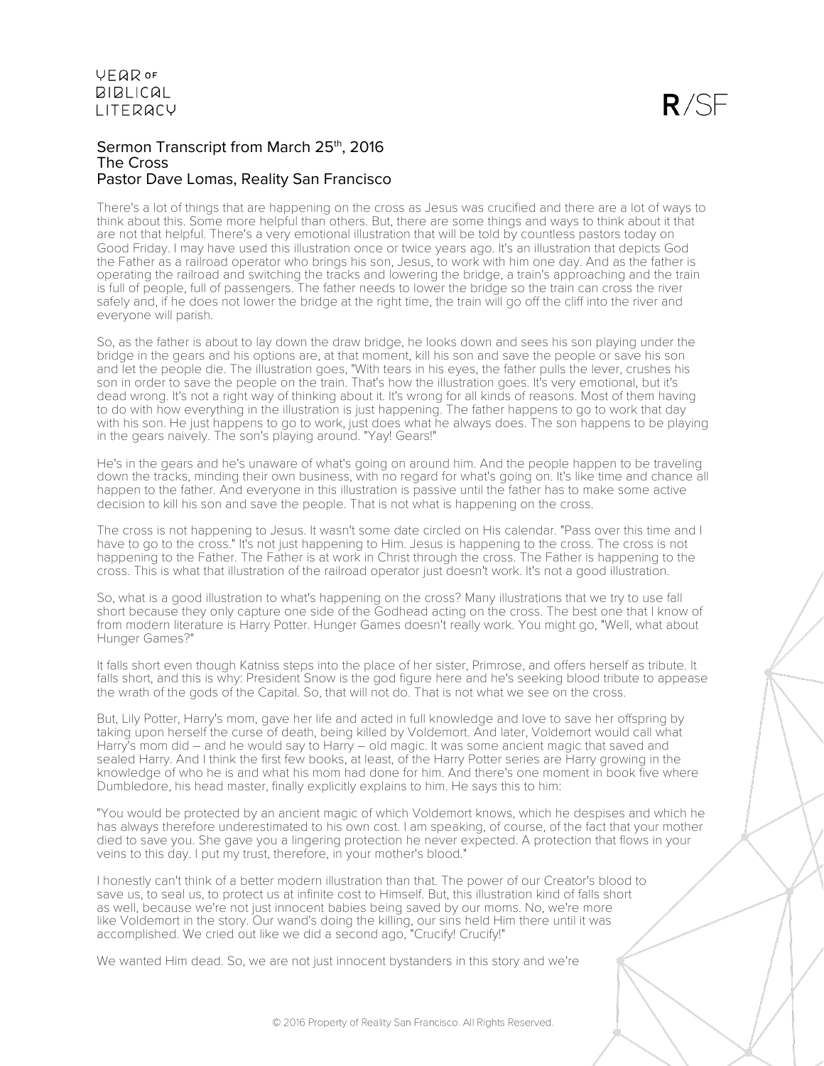### Sermon Transcript from March 25th, 2016 The Cross Pastor Dave Lomas, Reality San Francisco

There's a lot of things that are happening on the cross as Jesus was crucified and there are a lot of ways to think about this. Some more helpful than others. But, there are some things and ways to think about it that are not that helpful. There's a very emotional illustration that will be told by countless pastors today on Good Friday. I may have used this illustration once or twice years ago. It's an illustration that depicts God the Father as a railroad operator who brings his son, Jesus, to work with him one day. And as the father is operating the railroad and switching the tracks and lowering the bridge, a train's approaching and the train is full of people, full of passengers. The father needs to lower the bridge so the train can cross the river safely and, if he does not lower the bridge at the right time, the train will go off the cliff into the river and everyone will parish.

So, as the father is about to lay down the draw bridge, he looks down and sees his son playing under the bridge in the gears and his options are, at that moment, kill his son and save the people or save his son and let the people die. The illustration goes, "With tears in his eyes, the father pulls the lever, crushes his son in order to save the people on the train. That's how the illustration goes. It's very emotional, but it's dead wrong. It's not a right way of thinking about it. It's wrong for all kinds of reasons. Most of them having to do with how everything in the illustration is just happening. The father happens to go to work that day with his son. He just happens to go to work, just does what he always does. The son happens to be playing in the gears naively. The son's playing around. "Yay! Gears!"

He's in the gears and he's unaware of what's going on around him. And the people happen to be traveling down the tracks, minding their own business, with no regard for what's going on. It's like time and chance all happen to the father. And everyone in this illustration is passive until the father has to make some active decision to kill his son and save the people. That is not what is happening on the cross.

The cross is not happening to Jesus. It wasn't some date circled on His calendar. "Pass over this time and I have to go to the cross." It's not just happening to Him. Jesus is happening to the cross. The cross is not happening to the Father. The Father is at work in Christ through the cross. The Father is happening to the cross. This is what that illustration of the railroad operator just doesn't work. It's not a good illustration.

So, what is a good illustration to what's happening on the cross? Many illustrations that we try to use fall short because they only capture one side of the Godhead acting on the cross. The best one that I know of from modern literature is Harry Potter. Hunger Games doesn't really work. You might go, "Well, what about Hunger Games?"

It falls short even though Katniss steps into the place of her sister, Primrose, and offers herself as tribute. It falls short, and this is why: President Snow is the god figure here and he's seeking blood tribute to appease the wrath of the gods of the Capital. So, that will not do. That is not what we see on the cross.

But, Lily Potter, Harry's mom, gave her life and acted in full knowledge and love to save her offspring by taking upon herself the curse of death, being killed by Voldemort. And later, Voldemort would call what Harry's mom did – and he would say to Harry – old magic. It was some ancient magic that saved and sealed Harry. And I think the first few books, at least, of the Harry Potter series are Harry growing in the knowledge of who he is and what his mom had done for him. And there's one moment in book five where Dumbledore, his head master, finally explicitly explains to him. He says this to him:

"You would be protected by an ancient magic of which Voldemort knows, which he despises and which he has always therefore underestimated to his own cost. I am speaking, of course, of the fact that your mother died to save you. She gave you a lingering protection he never expected. A protection that flows in your veins to this day. I put my trust, therefore, in your mother's blood."

I honestly can't think of a better modern illustration than that. The power of our Creator's blood to save us, to seal us, to protect us at infinite cost to Himself. But, this illustration kind of falls short as well, because we're not just innocent babies being saved by our moms. No, we're more like Voldemort in the story. Our wand's doing the killing, our sins held Him there until it was accomplished. We cried out like we did a second ago, "Crucify! Crucify!"

We wanted Him dead. So, we are not just innocent bystanders in this story and we're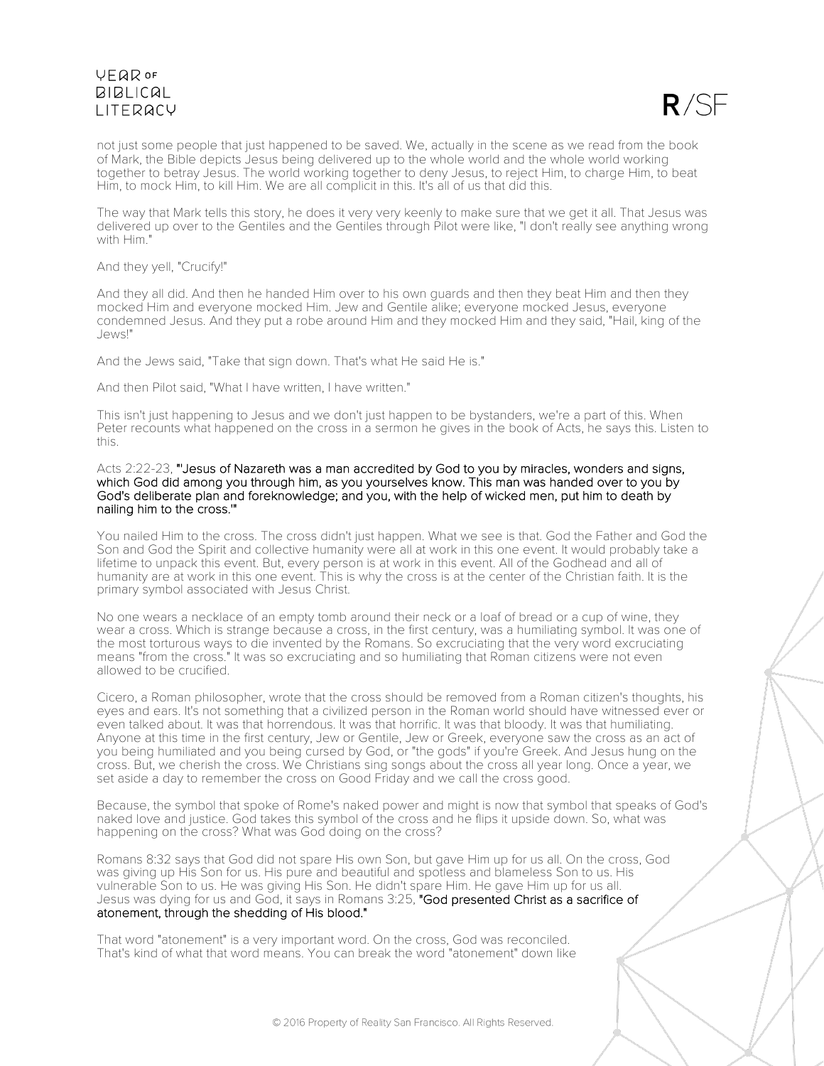# **VFQR OF BIBLICAL LITERACY**



not just some people that just happened to be saved. We, actually in the scene as we read from the book of Mark, the Bible depicts Jesus being delivered up to the whole world and the whole world working together to betray Jesus. The world working together to deny Jesus, to reject Him, to charge Him, to beat Him, to mock Him, to kill Him. We are all complicit in this. It's all of us that did this.

The way that Mark tells this story, he does it very very keenly to make sure that we get it all. That Jesus was delivered up over to the Gentiles and the Gentiles through Pilot were like, "I don't really see anything wrong with Him."

#### And they yell, "Crucify!"

And they all did. And then he handed Him over to his own guards and then they beat Him and then they mocked Him and everyone mocked Him. Jew and Gentile alike; everyone mocked Jesus, everyone condemned Jesus. And they put a robe around Him and they mocked Him and they said, "Hail, king of the Jews!"

And the Jews said, "Take that sign down. That's what He said He is."

And then Pilot said, "What I have written, I have written."

This isn't just happening to Jesus and we don't just happen to be bystanders, we're a part of this. When Peter recounts what happened on the cross in a sermon he gives in the book of Acts, he says this. Listen to this.

Acts 2:22-23, "'Jesus of Nazareth was a man accredited by God to you by miracles, wonders and signs, which God did among you through him, as you yourselves know. This man was handed over to you by God's deliberate plan and foreknowledge; and you, with the help of wicked men, put him to death by nailing him to the cross.'"

You nailed Him to the cross. The cross didn't just happen. What we see is that. God the Father and God the Son and God the Spirit and collective humanity were all at work in this one event. It would probably take a lifetime to unpack this event. But, every person is at work in this event. All of the Godhead and all of humanity are at work in this one event. This is why the cross is at the center of the Christian faith. It is the primary symbol associated with Jesus Christ.

No one wears a necklace of an empty tomb around their neck or a loaf of bread or a cup of wine, they wear a cross. Which is strange because a cross, in the first century, was a humiliating symbol. It was one of the most torturous ways to die invented by the Romans. So excruciating that the very word excruciating means "from the cross." It was so excruciating and so humiliating that Roman citizens were not even allowed to be crucified.

Cicero, a Roman philosopher, wrote that the cross should be removed from a Roman citizen's thoughts, his eyes and ears. It's not something that a civilized person in the Roman world should have witnessed ever or even talked about. It was that horrendous. It was that horrific. It was that bloody. It was that humiliating. Anyone at this time in the first century, Jew or Gentile, Jew or Greek, everyone saw the cross as an act of you being humiliated and you being cursed by God, or "the gods" if you're Greek. And Jesus hung on the cross. But, we cherish the cross. We Christians sing songs about the cross all year long. Once a year, we set aside a day to remember the cross on Good Friday and we call the cross good.

Because, the symbol that spoke of Rome's naked power and might is now that symbol that speaks of God's naked love and justice. God takes this symbol of the cross and he flips it upside down. So, what was happening on the cross? What was God doing on the cross?

Romans 8:32 says that God did not spare His own Son, but gave Him up for us all. On the cross, God was giving up His Son for us. His pure and beautiful and spotless and blameless Son to us. His vulnerable Son to us. He was giving His Son. He didn't spare Him. He gave Him up for us all. Jesus was dying for us and God, it says in Romans 3:25, "God presented Christ as a sacrifice of atonement, through the shedding of His blood."

That word "atonement" is a very important word. On the cross, God was reconciled. That's kind of what that word means. You can break the word "atonement" down like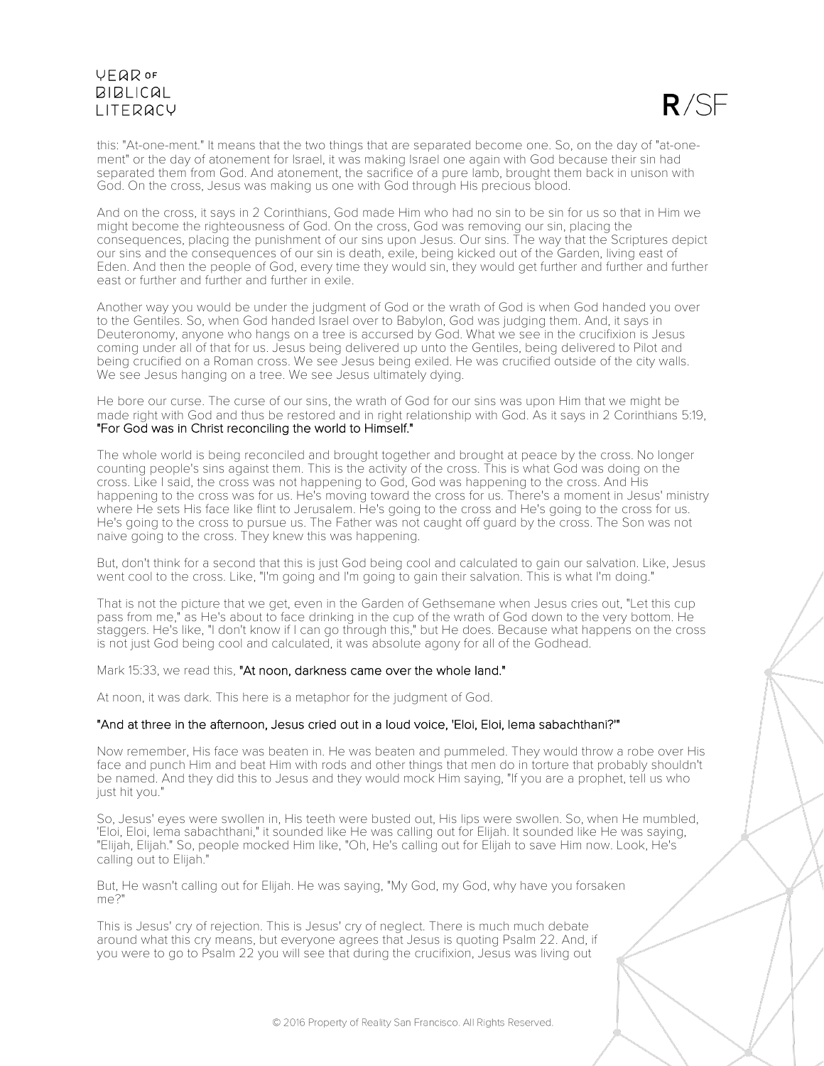# **VFQR OF BIBLICAL LITERACY**



this: "At-one-ment." It means that the two things that are separated become one. So, on the day of "at-onement" or the day of atonement for Israel, it was making Israel one again with God because their sin had separated them from God. And atonement, the sacrifice of a pure lamb, brought them back in unison with God. On the cross, Jesus was making us one with God through His precious blood.

And on the cross, it says in 2 Corinthians, God made Him who had no sin to be sin for us so that in Him we might become the righteousness of God. On the cross, God was removing our sin, placing the consequences, placing the punishment of our sins upon Jesus. Our sins. The way that the Scriptures depict our sins and the consequences of our sin is death, exile, being kicked out of the Garden, living east of Eden. And then the people of God, every time they would sin, they would get further and further and further east or further and further and further in exile.

Another way you would be under the judgment of God or the wrath of God is when God handed you over to the Gentiles. So, when God handed Israel over to Babylon, God was judging them. And, it says in Deuteronomy, anyone who hangs on a tree is accursed by God. What we see in the crucifixion is Jesus coming under all of that for us. Jesus being delivered up unto the Gentiles, being delivered to Pilot and being crucified on a Roman cross. We see Jesus being exiled. He was crucified outside of the city walls. We see Jesus hanging on a tree. We see Jesus ultimately dying.

He bore our curse. The curse of our sins, the wrath of God for our sins was upon Him that we might be made right with God and thus be restored and in right relationship with God. As it says in 2 Corinthians 5:19, "For God was in Christ reconciling the world to Himself."

The whole world is being reconciled and brought together and brought at peace by the cross. No longer counting people's sins against them. This is the activity of the cross. This is what God was doing on the cross. Like I said, the cross was not happening to God, God was happening to the cross. And His happening to the cross was for us. He's moving toward the cross for us. There's a moment in Jesus' ministry where He sets His face like flint to Jerusalem. He's going to the cross and He's going to the cross for us. He's going to the cross to pursue us. The Father was not caught off guard by the cross. The Son was not naive going to the cross. They knew this was happening.

But, don't think for a second that this is just God being cool and calculated to gain our salvation. Like, Jesus went cool to the cross. Like, "I'm going and I'm going to gain their salvation. This is what I'm doing."

That is not the picture that we get, even in the Garden of Gethsemane when Jesus cries out, "Let this cup pass from me," as He's about to face drinking in the cup of the wrath of God down to the very bottom. He staggers. He's like, "I don't know if I can go through this," but He does. Because what happens on the cross is not just God being cool and calculated, it was absolute agony for all of the Godhead.

Mark 15:33, we read this, "At noon, darkness came over the whole land."

At noon, it was dark. This here is a metaphor for the judgment of God.

#### "And at three in the afternoon, Jesus cried out in a loud voice, 'Eloi, Eloi, lema sabachthani?'"

Now remember, His face was beaten in. He was beaten and pummeled. They would throw a robe over His face and punch Him and beat Him with rods and other things that men do in torture that probably shouldn't be named. And they did this to Jesus and they would mock Him saying, "If you are a prophet, tell us who just hit you."

So, Jesus' eyes were swollen in, His teeth were busted out, His lips were swollen. So, when He mumbled, 'Eloi, Eloi, lema sabachthani," it sounded like He was calling out for Elijah. It sounded like He was saying, "Elijah, Elijah." So, people mocked Him like, "Oh, He's calling out for Elijah to save Him now. Look, He's calling out to Elijah."

But, He wasn't calling out for Elijah. He was saying, "My God, my God, why have you forsaken  $m^2$ 

This is Jesus' cry of rejection. This is Jesus' cry of neglect. There is much much debate around what this cry means, but everyone agrees that Jesus is quoting Psalm 22. And, if you were to go to Psalm 22 you will see that during the crucifixion, Jesus was living out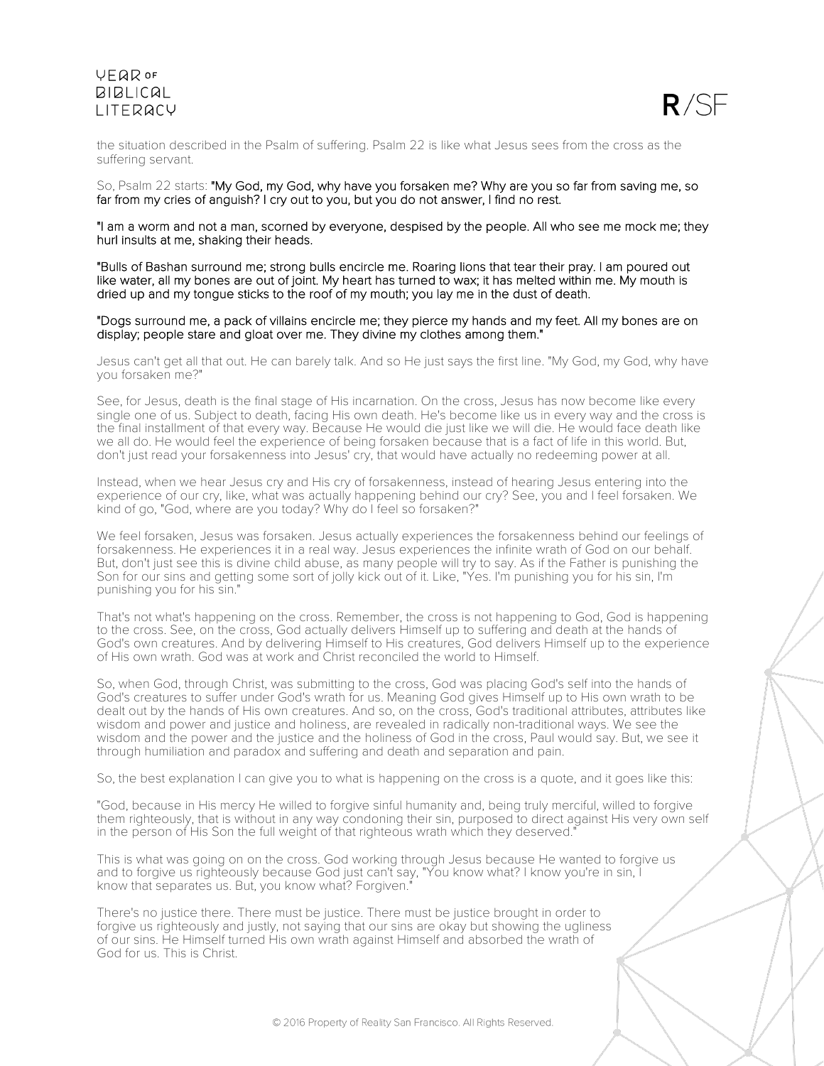## **VEQR OF BIBLICAL LITERACY**



the situation described in the Psalm of suffering. Psalm 22 is like what Jesus sees from the cross as the suffering servant.

#### So, Psalm 22 starts: "My God, my God, why have you forsaken me? Why are you so far from saving me, so far from my cries of anguish? I cry out to you, but you do not answer, I find no rest.

"I am a worm and not a man, scorned by everyone, despised by the people. All who see me mock me; they hurl insults at me, shaking their heads.

"Bulls of Bashan surround me; strong bulls encircle me. Roaring lions that tear their pray. I am poured out like water, all my bones are out of joint. My heart has turned to wax; it has melted within me. My mouth is dried up and my tongue sticks to the roof of my mouth; you lay me in the dust of death.

#### "Dogs surround me, a pack of villains encircle me; they pierce my hands and my feet. All my bones are on display; people stare and gloat over me. They divine my clothes among them."

Jesus can't get all that out. He can barely talk. And so He just says the first line. "My God, my God, why have you forsaken me?"

See, for Jesus, death is the final stage of His incarnation. On the cross, Jesus has now become like every single one of us. Subject to death, facing His own death. He's become like us in every way and the cross is the final installment of that every way. Because He would die just like we will die. He would face death like we all do. He would feel the experience of being forsaken because that is a fact of life in this world. But, don't just read your forsakenness into Jesus' cry, that would have actually no redeeming power at all.

Instead, when we hear Jesus cry and His cry of forsakenness, instead of hearing Jesus entering into the experience of our cry, like, what was actually happening behind our cry? See, you and I feel forsaken. We kind of go, "God, where are you today? Why do I feel so forsaken?"

We feel forsaken, Jesus was forsaken. Jesus actually experiences the forsakenness behind our feelings of forsakenness. He experiences it in a real way. Jesus experiences the infinite wrath of God on our behalf. But, don't just see this is divine child abuse, as many people will try to say. As if the Father is punishing the Son for our sins and getting some sort of jolly kick out of it. Like, "Yes. I'm punishing you for his sin, I'm punishing you for his sin."

That's not what's happening on the cross. Remember, the cross is not happening to God, God is happening to the cross. See, on the cross, God actually delivers Himself up to suffering and death at the hands of God's own creatures. And by delivering Himself to His creatures, God delivers Himself up to the experience of His own wrath. God was at work and Christ reconciled the world to Himself.

So, when God, through Christ, was submitting to the cross, God was placing God's self into the hands of God's creatures to suffer under God's wrath for us. Meaning God gives Himself up to His own wrath to be dealt out by the hands of His own creatures. And so, on the cross, God's traditional attributes, attributes like wisdom and power and justice and holiness, are revealed in radically non-traditional ways. We see the wisdom and the power and the justice and the holiness of God in the cross, Paul would say. But, we see it through humiliation and paradox and suffering and death and separation and pain.

So, the best explanation I can give you to what is happening on the cross is a quote, and it goes like this:

"God, because in His mercy He willed to forgive sinful humanity and, being truly merciful, willed to forgive them righteously, that is without in any way condoning their sin, purposed to direct against His very own self in the person of His Son the full weight of that righteous wrath which they deserved."

This is what was going on on the cross. God working through Jesus because He wanted to forgive us and to forgive us righteously because God just can't say, "You know what? I know you're in sin, I know that separates us. But, you know what? Forgiven.

There's no justice there. There must be justice. There must be justice brought in order to forgive us righteously and justly, not saying that our sins are okay but showing the ugliness of our sins. He Himself turned His own wrath against Himself and absorbed the wrath of God for us. This is Christ.